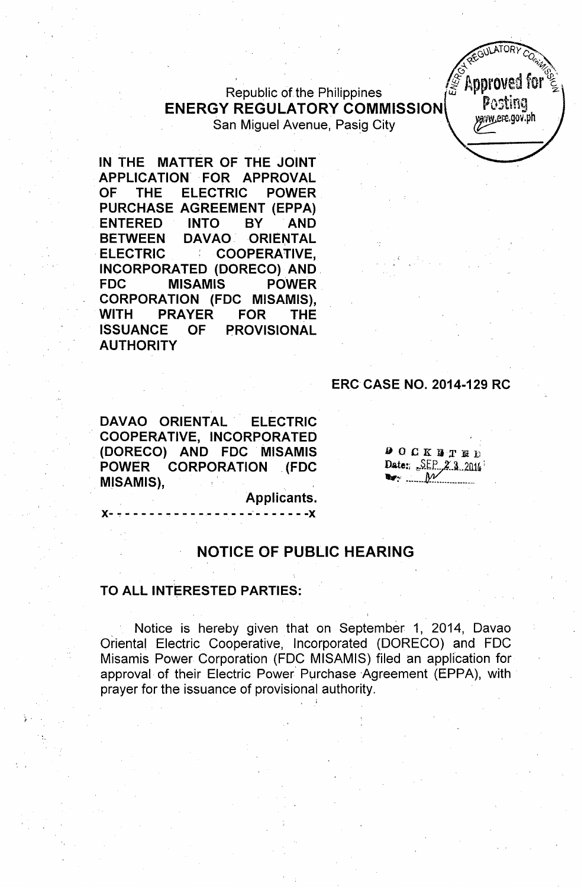$\mathbb{Z}$  **Approved for**  $\mathbb{Z}$ Republic of the Philippines .w i r ....~'" z **ENERGY REGULATORY COMMISSION** PUBLISHED San Miguel Avenue, Pasig City

**IN THE MATTER OF THE JOINT APPLICATION** ,FOR **APPROVAL OF THE ELECTRIC POWER PURCHASE AGREEMENT (EPPA) ENTERED INTO BY AND BETWEEN DAVAO ORIENTAL ELECTRIC ; COOPERATIVE, INCORPORATED (DORECO) AND, FDC MISAMIS POWER CORPORATION (FDC MISAMIS), WITH PRAYER FOR THE ISSUANCE OF PROVISIONAL AUTHORITY**

#### **ERCCASE NO. 2014-129 RC**

*at G*<sup>*ULATURY CO<sub>(in</sub>)*</sup>  $\frac{1}{2}$   $\frac{1}{2}$   $\frac{1}{2}$   $\frac{1}{2}$   $\frac{1}{2}$   $\frac{1}{2}$   $\frac{1}{2}$   $\frac{1}{2}$   $\frac{1}{2}$   $\frac{1}{2}$   $\frac{1}{2}$   $\frac{1}{2}$   $\frac{1}{2}$   $\frac{1}{2}$   $\frac{1}{2}$   $\frac{1}{2}$   $\frac{1}{2}$   $\frac{1}{2}$   $\frac{1}{2}$   $\frac{1}{2}$   $\frac{1}{2}$   $\frac{1}{2}$ 

DAVAO ORIENTAL **ELECTRIC** COOPERATIVE, INCORPORATED (DORECO) AND FDC MISAMIS **POWER CORPORATION (FDC** MISAMIS),

 $000K$  TTED Date: SEP 23.2014 **L**<sub>T</sub>:  $\mathcal{M}$ 

Applicants.

 $- - - -X$ 

#### **NOTICE OF PUBLIC HEARING**

#### **TO ALL INTERESTED PARTIES:**

 $X - -$ 

*f .*

Notice is hereby given that on September 1, 2014, Davao Oriental Electric Cooperative, Incorporated (DORECO) and FOC Misamis Power Corporation (FOC MISAMIS) filed an application for approval, of their Electric Power' Purchase Agreement (EPPA), with prayer for the issuance of provisional authority. , .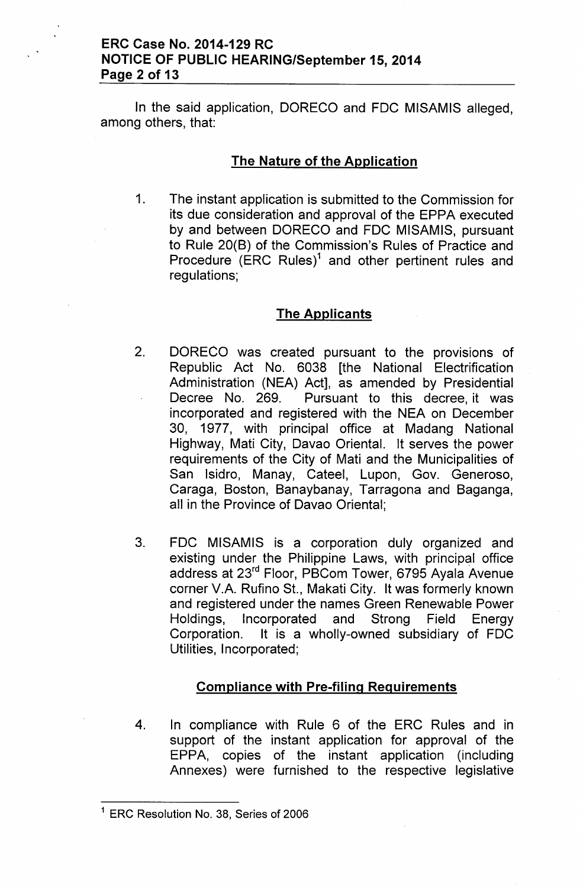## ERC Case No. 2014-129 RC NOTICE OF PUBLIC HEARING/September 15, 2014 Page 2 of 13

In the said application, DORECO and FDC MISAMIS alleged, among others, that:

#### The Nature of the Application

1. The instant application is submitted to the Commission for its due consideration and approval of the EPPA executed by and between DORECO and FDC MISAMIS, pursuant to Rule 20(B) of the Commission's Rules of Practice and Procedure  $(ERC$  Rules)<sup>1</sup> and other pertinent rules and regulations;

## **The Applicants**

- 2. DORECO was created pursuant to the provisions of Republic Act No. 6038 [the National Electrification Administration (NEA) Act], as amended by Presidential Decree No. 269. Pursuant to this decree, it was incorporated and registered with the NEA on December 30, 1977, with principal office at Madang National Highway, Mati City, Davao Oriental. It serves the power requirements of the City of Mati and the Municipalities of San Isidro, Manay, Cateel, Lupon, Gov. Generoso, Caraga, Boston, Banaybanay, Tarragona and Baganga, all in the Province of Davao Oriental;
- 3. FDC MISAMIS is a corporation duly organized and existing under the Philippine Laws, with principal office address at 23rd Floor, PBCom Tower, 6795 Ayala Avenue corner V.A. Rufino St., Makati City. It was formerly known and registered under the names Green Renewable Power Holdings, Incorporated and Strong Field Energy Corporation. It is a wholly-owned subsidiary of FDC Utilities, Incorporated;

## Compliance with Pre-filing Requirements

4. In compliance with Rule 6 of the ERC Rules and in support of the instant application for approval of the EPPA, copies of the instant application (including Annexes) were furnished to the respective legislative

<sup>&</sup>lt;sup>1</sup> ERC Resolution No. 38, Series of 2006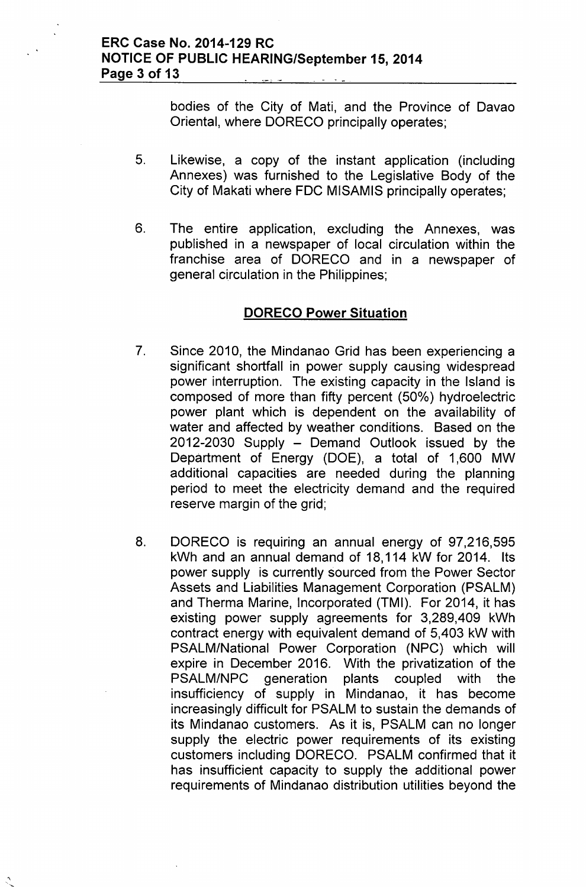bodies of the City of Mati, and the Province of Davao Oriental, where DORECO principally operates;

- 5. Likewise, a copy of the instant application (including Annexes) was furnished to the Legislative Body of the City of Makati where FDC MISAMIS principally operates;
- 6. The entire application, excluding the Annexes, was published in a newspaper of local circulation within the franchise area of DORECO and in a newspaper of general circulation in the Philippines;

## DORECO Power Situation

- 7. Since 2010, the Mindanao Grid has been experiencing a significant shortfall in power supply causing widespread power interruption. The existing capacity in the Island is composed of more than fifty percent (50%) hydroelectric power plant which is dependent on the availability of water and affected by weather conditions. Based on the  $2012-2030$  Supply  $-$  Demand Outlook issued by the Department of Energy (DOE), a total of 1,600 MW additional capacities are needed during the planning period to meet the electricity demand and the required reserve margin of the grid;
- 8. DORECO is requiring an annual energy of 97,216,595 kWh and an annual demand of 18,114 kW for 2014. Its power supply is currently sourced from the Power Sector Assets and Liabilities Management Corporation (PSALM) and Therma Marine, Incorporated (TMI). For 2014, it has existing power supply agreements for 3,289,409 kWh contract energy with equivalent demand of 5,403 kW with PSALM/National Power Corporation (NPC) which will expire in December 2016. With the privatization of the PSALM/NPC generation plants coupled with the insufficiency of supply in Mindanao, it has become increasingly difficult for PSALM to sustain the demands of its Mindanao customers. As it is, PSALM can no longer supply the electric power requirements of its existing customers including DORECO. PSALM confirmed that it has insufficient capacity to supply the additional power requirements of Mindanao distribution utilities beyond the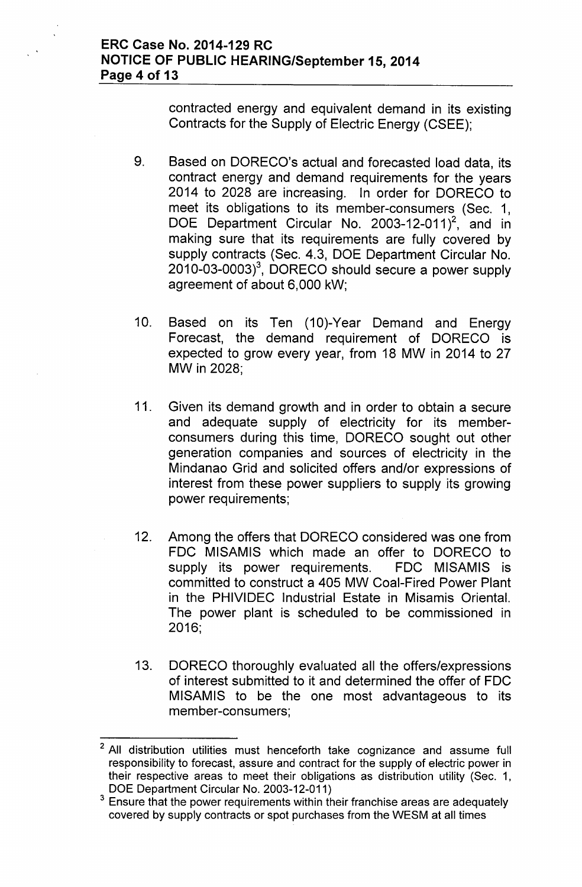contracted energy and equivalent demand in its existing Contracts for the Supply of Electric Energy (CSEE);

- 9. Based on DORECO's actual and forecasted load data, its contract energy and demand requirements for the years 2014 to 2028 are increasing. In order for DORECO to meet its obligations to its member-consumers (Sec. 1, DOE Department Circular No. 2003-12-011 $^2$ , and in making sure that its requirements are fully covered by supply contracts (Sec. 4.3, DOE Department Circular No.  $2010-03-0003$ <sup>3</sup>, DORECO should secure a power supply agreement of about 6,000 kW;
- 10. Based on its Ten (10)-Year Demand and Energy Forecast, the demand requirement of DORECO is expected to grow every year, from 18 MW in 2014 to 27 MW in 2028;
- 11. Given its demand growth and in order to obtain a secure and adequate supply of electricity for its memberconsumers during this time, DORECO sought out other generation companies and sources of electricity in the Mindanao Grid and solicited offers and/or expressions of interest from these power suppliers to supply its growing power requirements;
- 12. Among the offers that DORECO considered was one from FDC MISAMIS which made an offer to DORECO to supply its power requirements. FDC MISAMIS is committed to construct a 405 MW Coal-Fired Power Plant in the PHIVIDEC Industrial Estate in Misamis Oriental. The power plant is scheduled to be commissioned in 2016;
- 13. DORECO thoroughly evaluated all the offers/expressions of interest submitted to it and determined the offer of FDC MISAMIS to be the one most advantageous to its member-consumers;

<sup>&</sup>lt;sup>2</sup> All distribution utilities must henceforth take cognizance and assume full responsibility to forecast, assure and contract for the supply of electric power in their respective areas to meet their obligations as distribution utility (Sec. 1, DOE Department Circular No. 2003-12-011)

 $3$  Ensure that the power requirements within their franchise areas are adequately covered by supply contracts or spot purchases from the WESM at all times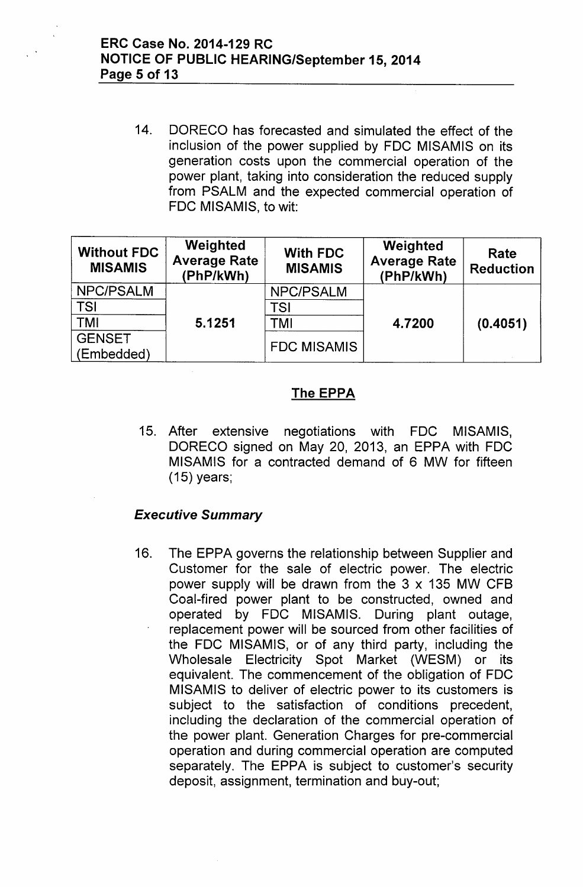14. OORECO has forecasted and simulated the effect of the inclusion of the power supplied by FOC MISAMIS on its generation costs upon the commercial operation of the power plant, taking into consideration the reduced supply from PSALM and the expected commercial operation of FOC MISAMIS, to wit:

| <b>Without FDC</b><br><b>MISAMIS</b> | Weighted<br><b>Average Rate</b><br>(PhP/kWh) | <b>With FDC</b><br><b>MISAMIS</b> | Weighted<br><b>Average Rate</b><br>(PhP/kWh) | Rate<br><b>Reduction</b> |
|--------------------------------------|----------------------------------------------|-----------------------------------|----------------------------------------------|--------------------------|
| NPC/PSALM                            | 5.1251                                       | NPC/PSALM                         | 4.7200                                       | (0.4051)                 |
| <b>TSI</b>                           |                                              | TSI                               |                                              |                          |
| <b>TMI</b>                           |                                              | TMI                               |                                              |                          |
| <b>GENSET</b><br>(Embedded)          |                                              | <b>FDC MISAMIS</b>                |                                              |                          |

# The EPPA

15. After extensive negotiations with FOC MISAMIS, OORECO signed on May 20, 2013, an EPPA with FOC MISAMIS for a contracted demand of 6 MW for fifteen (15) years;

# *Executive Summary*

16. The EPPA governs the relationship between Supplier and Customer for the sale of electric power. The electric power supply will be drawn from the  $3 \times 135$  MW CFB Coal-fired power plant to be constructed, owned and operated by FOC MISAMIS. During plant outage, replacement power will be sourced from other facilities of the FOC MISAMIS, or of any third party, including the Wholesale Electricity Spot Market (WESM) or its equivalent. The commencement of the obligation of FOC MISAMIS to deliver of electric power to its customers is subject to the satisfaction of conditions precedent, including the declaration of the commercial operation of the power plant. Generation Charges for pre-commercial operation and during commercial operation are computed separately. The EPPA is subject to customer's security deposit, assignment, termination and buy-out;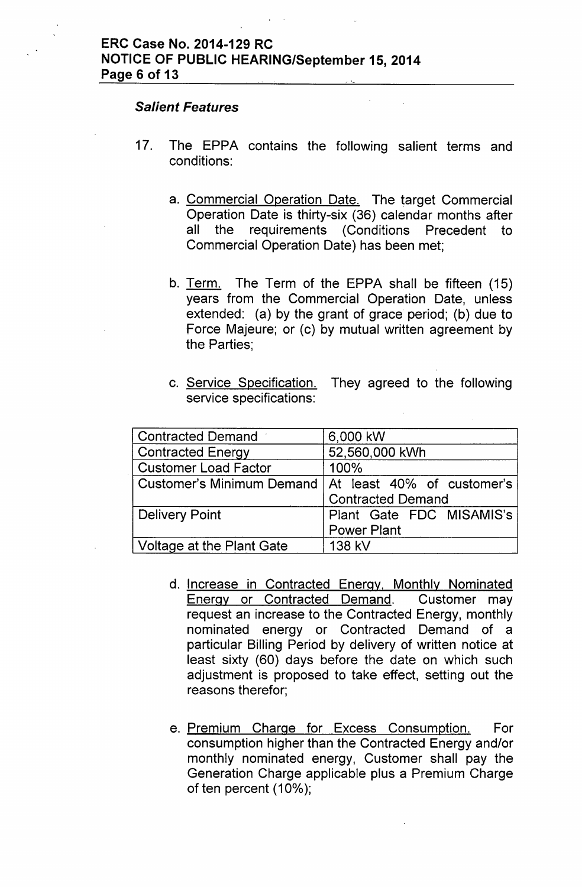#### *Salient Features*

- 17. The EPPA contains the following salient terms and conditions:
	- a. Commercial Operation Date. The target Commercial Operation Date is thirty-six (36) calendar months after all the requirements (Conditions Precedent to Commercial Operation Date) has been met;
	- b. Term. The Term of the EPPA shall be fifteen (15) years from the Commercial Operation Date, unless extended: (a) by the grant of grace period; (b) due to Force Majeure; or (c) by mutual written agreement by the Parties;
	- c. Service Specification. They agreed to the following service specifications:

| <b>Contracted Demand</b>         | 6,000 kW                                               |  |  |
|----------------------------------|--------------------------------------------------------|--|--|
| <b>Contracted Energy</b>         | 52,560,000 kWh                                         |  |  |
| <b>Customer Load Factor</b>      | 100%                                                   |  |  |
|                                  | Customer's Minimum Demand   At least 40% of customer's |  |  |
|                                  | <b>Contracted Demand</b>                               |  |  |
| <b>Delivery Point</b>            | Plant Gate FDC MISAMIS's                               |  |  |
|                                  | <b>Power Plant</b>                                     |  |  |
| <b>Voltage at the Plant Gate</b> | 138 kV                                                 |  |  |

- d. Increase in Contracted Energy. Monthly Nominated Energy or Contracted Demand. Customer may request an increase to the Contracted Energy, monthly nominated energy or Contracted Demand of a particular Billing Period by delivery of written notice at least sixty (60) days before the date on which such adjustment is proposed to take effect, setting out the reasons therefor;
- e. Premium Charge for Excess Consumption. For consumption higher than the Contracted Energy and/or monthly nominated energy, Customer shall pay the Generation Charge applicable plus a Premium Charge of ten percent (10%);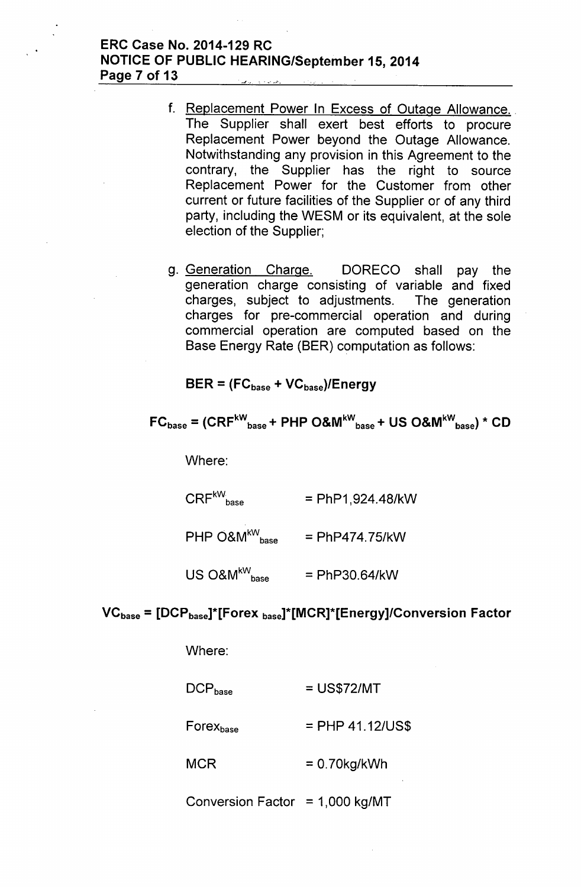## ERC Case No. 2014-129 RC NOTICE OF PUBLIC HEARING/September 15,2014 Page 7 of 13

- f. Replacement Power In Excess of Outage Allowance. The Supplier shall exert best efforts to procure Replacement Power beyond the Outage Allowance. Notwithstanding any provision in this Agreement to the contrary, the Supplier has the right to source Replacement Power for the Customer from other current or future facilities of the Supplier or of any third party, including the WESM or its equivalent, at the sole election of the Supplier;
- g. Generation Charge. DORECO shall pay the generation charge consisting of variable and fixed charges, subject to adjustments. The generation charges for pre-commercial operation and during commercial operation are computed based on the Base Energy Rate (BER) computation as follows:

 $BER = (FC_{base} + VC_{base})/Energy$ 

$$
FC_{base} = (CRF^{kW}_{base} + PHP O&M^{kW}_{base} + US O&M^{kW}_{base}) \times CD
$$

Where:

 $CRF^{kW}$ <sub>base</sub> = PhP1,924.48/kW

 $PHP$  O&M $\rm ^{kW}$ <sub>base</sub> = PhP474.75/kW

 $US\ O8M^{\text{kW}}_{\text{base}}$ = PhP30.64/kW

## VC<sub>base</sub> = [DCP<sub>base</sub>]\*[Forex <sub>base</sub>]\*[MCR]\*[Energy]/Conversion Factor

Where:

MCR

| $\mathsf{DCP}_\mathsf{base}$   | $=$ US\$72/MT      |
|--------------------------------|--------------------|
| $\mathsf{Forex}_\mathsf{base}$ | $=$ PHP 41.12/US\$ |
|                                |                    |

 $= 0.70$ kg/kWh

Conversion Factor =  $1,000$  kg/MT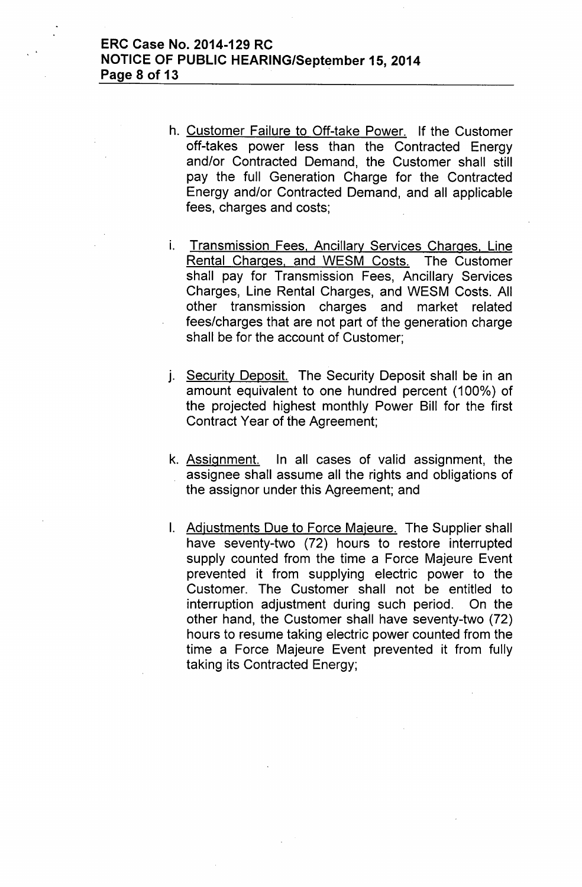## ERC Case No. 2014-129 RC NOTICE OF PUBLIC HEARING/September 15,2014 Page 8 of 13 .

- h. Customer Failure to Off-take Power. If the Customer off-takes power less than the Contracted Energy and/or Contracted Demand, the Customer shall still pay the full Generation Charge for the Contracted Energy and/or Contracted Demand, and all applicable fees, charges and costs;
- i. Transmission Fees, Ancillary Services Charges, Line Rental Charges. and WESM Costs. The Customer shall pay for Transmission Fees, Ancillary Services Charges, Line Rental Charges, and WESM Costs. All other transmission charges and market related fees/charges that are not part of the generation charge shall be for the account of Customer;
- j. Security Deposit. The Security Deposit shall be in an amount equivalent to one hundred percent (100%) of the projected highest monthly Power Bill for the first Contract Year of the Agreement;
- k. Assignment. In all cases of valid assignment, the assignee shall assume all the rights and obligations of the assignor under this Agreement; and
- I. Adjustments Due to Force Majeure. The Supplier shall have seventy-two (72) hours to restore interrupted supply counted from the time a Force Majeure Event prevented it from supplying electric power to the Customer. The Customer shall not be entitled to interruption adjustment during such period. On the other hand, the Customer shall have seventy-two (72) hours to resume taking electric power counted from the time a Force Majeure Event prevented it from fully taking its Contracted Energy;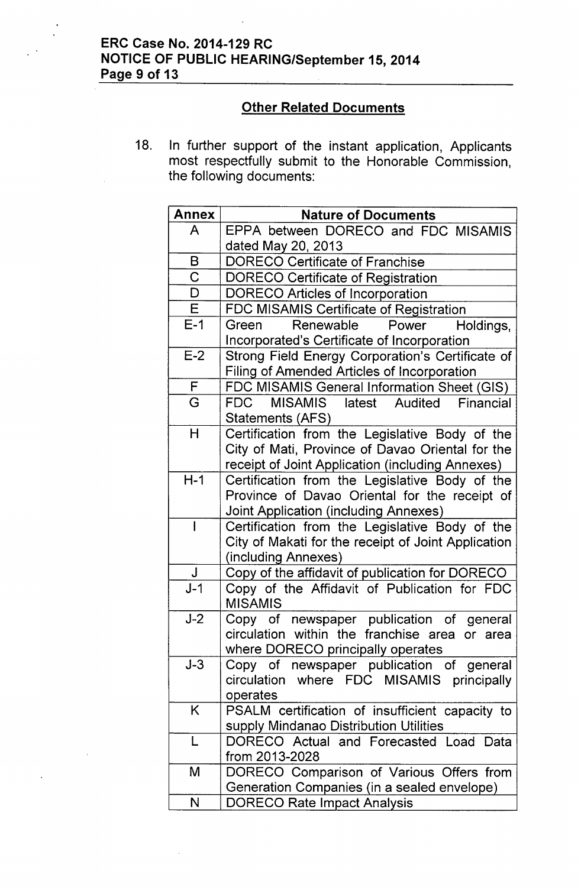# ERC Case No. 2014-129 RC NOTICE OF PUBLIC HEARING/September 15,2014 Page 9 of 13

# **Other Related Documents**

18. In further support of the instant application, Applicants most respectfully submit to the Honorable Commission, the following documents:

| <b>Annex</b> | <b>Nature of Documents</b>                          |
|--------------|-----------------------------------------------------|
| A            | EPPA between DORECO and FDC MISAMIS                 |
|              | dated May 20, 2013                                  |
| B            | <b>DORECO Certificate of Franchise</b>              |
| $\mathsf C$  | <b>DORECO Certificate of Registration</b>           |
| D            | <b>DORECO Articles of Incorporation</b>             |
| E            | FDC MISAMIS Certificate of Registration             |
| $E-1$        | Renewable<br>Power<br>Green<br>Holdings,            |
|              | Incorporated's Certificate of Incorporation         |
| $E-2$        | Strong Field Energy Corporation's Certificate of    |
|              | Filing of Amended Articles of Incorporation         |
| F            | FDC MISAMIS General Information Sheet (GIS)         |
| G            | FDC<br>MISAMIS latest Audited<br>Financial          |
|              | Statements (AFS)                                    |
| H            | Certification from the Legislative Body of the      |
|              | City of Mati, Province of Davao Oriental for the    |
|              | receipt of Joint Application (including Annexes)    |
| $H-1$        | Certification from the Legislative Body of the      |
|              | Province of Davao Oriental for the receipt of       |
|              | Joint Application (including Annexes)               |
|              | Certification from the Legislative Body of the      |
|              | City of Makati for the receipt of Joint Application |
|              | (including Annexes)                                 |
| J            | Copy of the affidavit of publication for DORECO     |
| $J-1$        | Copy of the Affidavit of Publication for FDC        |
|              | <b>MISAMIS</b>                                      |
| $J-2$        | Copy of newspaper publication of general            |
|              | circulation within the franchise area or area       |
|              | where DORECO principally operates                   |
| $J-3$        | Copy of newspaper publication of general            |
|              | circulation where FDC MISAMIS principally           |
|              | operates                                            |
| K            | PSALM certification of insufficient capacity to     |
|              | supply Mindanao Distribution Utilities              |
| L            | DORECO Actual and Forecasted Load Data              |
|              | from 2013-2028                                      |
| M            | DORECO Comparison of Various Offers from            |
|              | Generation Companies (in a sealed envelope)         |
| N            | <b>DORECO Rate Impact Analysis</b>                  |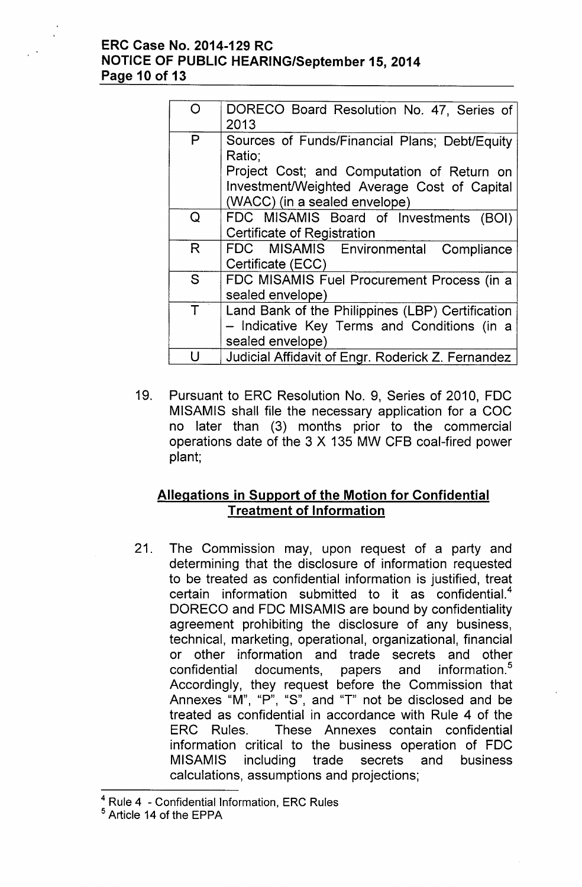## **ERC Case No. 2014-129 RC NOTICE OF PUBLIC HEARING/September 15,2014 Page 10 of 13**

| O | DORECO Board Resolution No. 47, Series of         |
|---|---------------------------------------------------|
|   | 2013                                              |
| P | Sources of Funds/Financial Plans; Debt/Equity     |
|   | Ratio;                                            |
|   | Project Cost; and Computation of Return on        |
|   | Investment/Weighted Average Cost of Capital       |
|   | (WACC) (in a sealed envelope)                     |
| Q | FDC MISAMIS Board of Investments (BOI)            |
|   | Certificate of Registration                       |
| R | FDC MISAMIS Environmental Compliance              |
|   | Certificate (ECC)                                 |
| S | FDC MISAMIS Fuel Procurement Process (in a        |
|   | sealed envelope)                                  |
| Τ | Land Bank of the Philippines (LBP) Certification  |
|   | - Indicative Key Terms and Conditions (in a       |
|   | sealed envelope)                                  |
|   | Judicial Affidavit of Engr. Roderick Z. Fernandez |

19. Pursuant to ERC Resolution No. 9, Series of 2010, FDC MISAMIS shall file the necessary application for a COC no later than (3) months prior to the commercial operations date of the 3 X 135 MW CFB coal-fired power plant;

# **Allegations in Support of the Motion for Confidential Treatment of Information**

21. The Commission may, upon request of a party and determining that the disclosure of information requested to be treated as confidential information is justified, treat certain information submitted to it as confidential.<sup>4</sup> OORECO and FOC MISAMIS are bound by confidentiality agreement prohibiting the disclosure of any business, technical, marketing, operational, organizational, financial or other information and trade secrets and other confidential documents, papers and information.<sup>5</sup> Accordingly, they request before the Commission that Annexes "M", "P", "S", and "T" not be disclosed and be treated as confidential in accordance with Rule 4 of the ERC Rules. These Annexes contain confidential information critical to the business operation of FOC MISAMIS including trade secrets and business calculations, assumptions and projections;

<sup>4</sup> Rule 4 - Confidential Information, ERC Rules

<sup>5</sup> Article 14 of the EPPA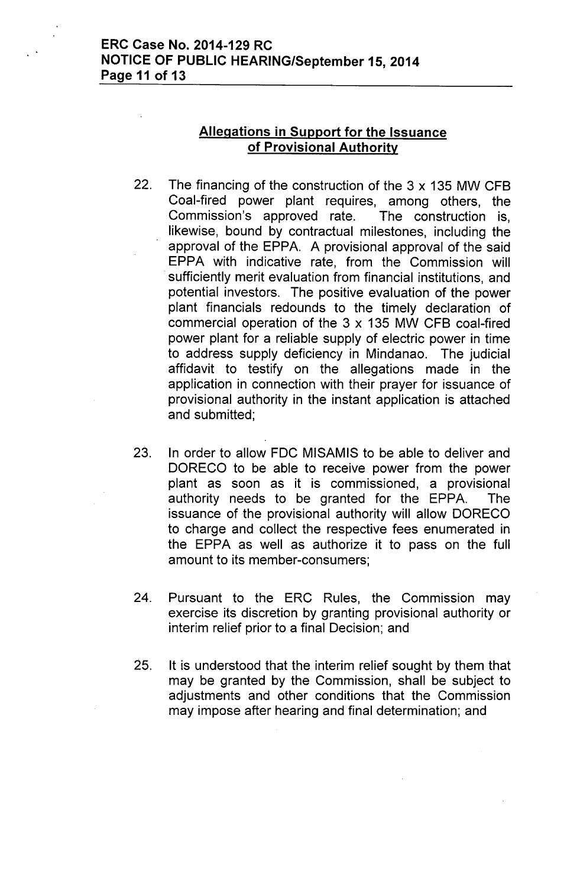# **Allegations in Support for the Issuance of Provisional Authority**

- 22. The financing of the construction of the 3 x 135 MW CFB Coal-fired power plant requires, among others, the Commission's approved rate. The construction is, likewise, bound by contractual milestones, including the approval of the EPPA. A provisional approval of the said EPPA with indicative rate, from the Commission will sufficiently merit evaluation from financial institutions, and potential investors. The positive evaluation of the power plant financials redounds to the timely declaration of commercial operation of the 3 x 135 MW CFB coal-fired power plant for a reliable supply of electric power in time to address supply deficiency in Mindanao. The judicial affidavit to testify on the allegations made in the application in connection with their prayer for issuance of provisional authority in the instant application is attached and submitted;
- 23. In order to allow FDC MISAMIS to be able to deliver and DORECO to be able to receive power from the power plant as soon as it is commissioned, a provisional authority needs to be granted for the EPPA. The issuance of the provisional authority will allow DORECO to charge and collect the respective fees enumerated in the EPPA as well as authorize it to pass on the full amount to its member-consumers;
- 24. Pursuant to the ERC Rules, the Commission may exercise its discretion by granting provisional authority or interim relief prior to a final Decision; and
- 25. It is understood that the interim relief sought by them that may be granted by the Commission, shall be subject to adjustments and other conditions that the Commission may impose after hearing and final determination; and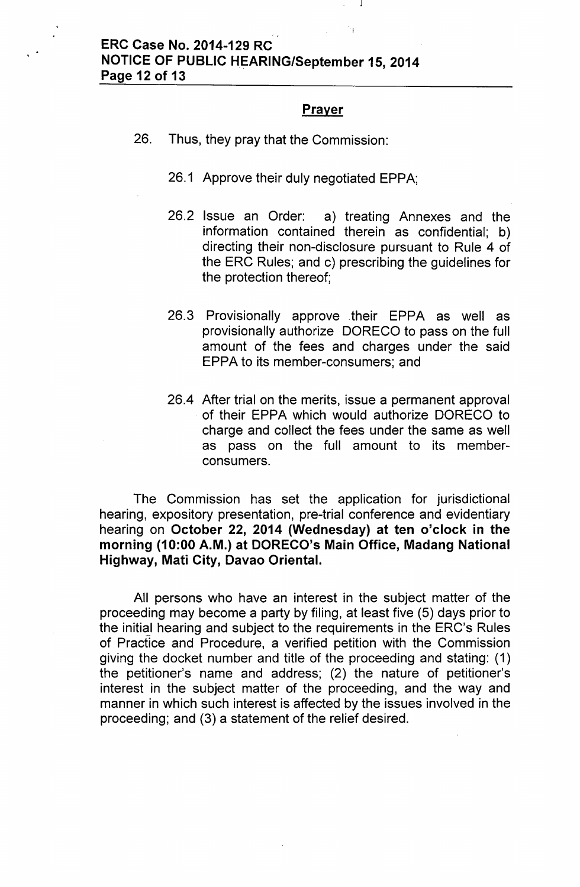#### Prayer

- 26. Thus, they pray that the Commission:
	- 26.1 Approve their duly negotiated EPPA;
	- 26.2 Issue an Order: a) treating Annexes and the information contained therein as confidential; b) directing their non-disclosure pursuant to Rule 4 of the ERC Rules; and c) prescribing the guidelines for the protection thereof;
	- 26.3 Provisionally approve .their EPPA as well as provisionally authorize DORECO to pass on the full amount of the fees and charges under the said EPPA to its member-consumers; and
	- 26.4 After trial on the merits, issue a permanent approval of their EPPA which would authorize DORECO to charge and collect the fees under the same as well as pass on the full amount to its memberconsumers.

The Commission has set the application for jurisdictional hearing, expository presentation, pre-trial conference and evidentiary hearing on October 22, 2014 (Wednesday) at ten o'clock in the morning (10:00 A.M.) at DORECO's Main Office, Madang National Highway, Mati City, Davao Oriental.

All persons who have an interest in the subject matter of the proceeding may become a party by filing, at least five (5) days prior to the initial hearing and subject to the requirements in the ERC's Rules of Practice and Procedure, a verified petition with the Commission giving the docket number and title of the proceeding and stating: (1) the petitioner's name and address; (2) the nature of petitioner's interest in the subject matter of the proceeding, and the way and manner in which such interest is affected by the issues involved in the proceeding; and (3) a statement of the relief desired.